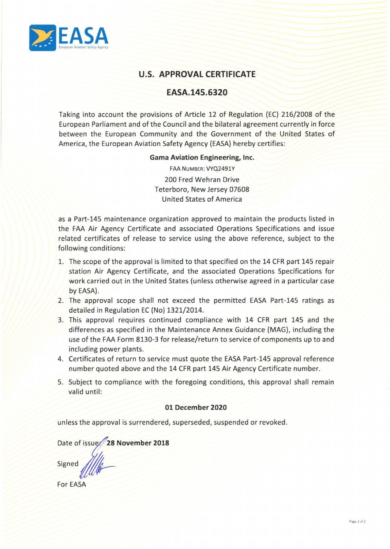

# **U.S. APPROVAL CERTIFICATE**

## **EASA.145.6320**

Taking into account the provisions of Article 12 of Regulation {EC) 216/2008 of the European Parliament and of the Council and the bilateral agreement currently in force between the European Community and the Government of the United States of America, the European Aviation Safety Agency {EASA) hereby certifies:

## **Gama Aviation Engineering, Inc.**

FAA NUMBER: VYQ2491Y 200 Fred Wehran Drive Teterboro, New Jersey 07608 United States of America

as a Part-145 maintenance organization approved to maintain the products listed in the FAA Air Agency Certificate and associated Operations Specifications and issue related certificates of release to service using the above reference, subject to the following conditions:

- 1. The scope of the approval is limited to that specified on the 14 CFR part 145 repair station Air Agency Certificate, and the associated Operations Specifications for work carried out in the United States (unless otherwise agreed in a particular case by EASA).
- 2. The approval scope shall not exceed the permitted EASA Part-145 ratings as detailed in Regulation EC {No) 1321/2014.
- 3. This approval requires continued compliance with 14 CFR part 145 and the differences as specified in the Maintenance Annex Guidance {MAG), including the use of the FAA Form 8130-3 for release/return to service of components up to and including power plants.
- 4. Certificates of return to service must quote the EASA Part-145 approval reference number quoted above and the 14 CFR part 145 Air Agency Certificate number.
- 5. Subject to compliance with the foregoing conditions, this approval shall remain valid until:

## **01 December 2020**

unless the approval is surrendered, superseded, suspended or revoked.

Date of issue: 28 November 2018

**Signed** 

**For EASA**